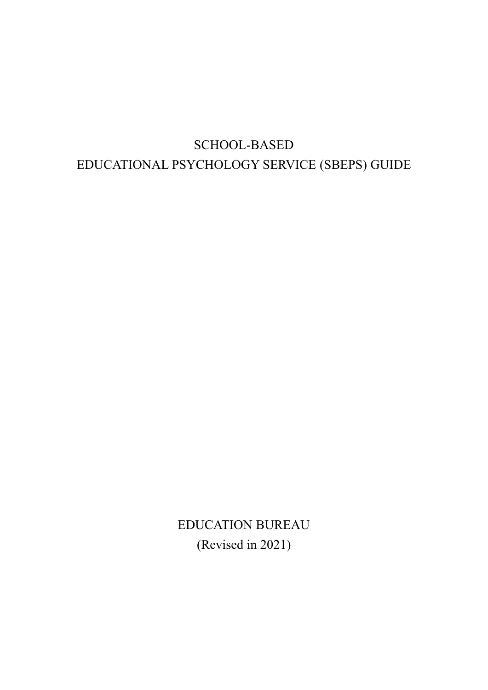# SCHOOL-BASED EDUCATIONAL PSYCHOLOGY SERVICE (SBEPS) GUIDE

EDUCATION BUREAU (Revised in 2021)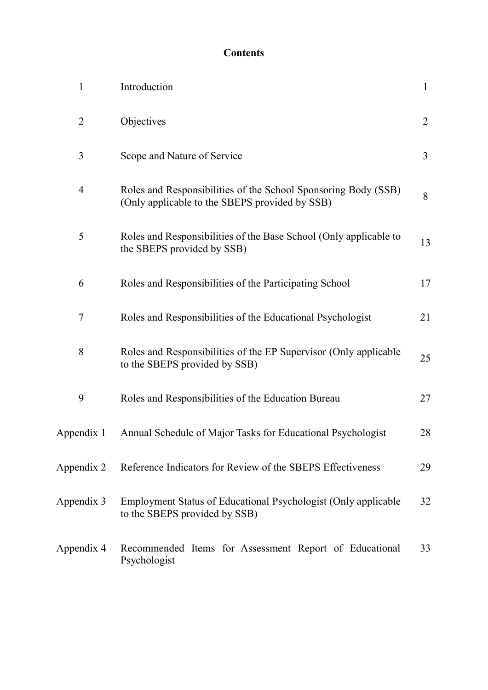## **Contents**

| $\mathbf{1}$   | Introduction                                                                                                     | $\mathbf{1}$   |
|----------------|------------------------------------------------------------------------------------------------------------------|----------------|
| $\overline{2}$ | Objectives                                                                                                       | $\overline{2}$ |
| 3              | Scope and Nature of Service                                                                                      | $\overline{3}$ |
| $\overline{4}$ | Roles and Responsibilities of the School Sponsoring Body (SSB)<br>(Only applicable to the SBEPS provided by SSB) | 8              |
| 5              | Roles and Responsibilities of the Base School (Only applicable to<br>the SBEPS provided by SSB)                  | 13             |
| 6              | Roles and Responsibilities of the Participating School                                                           | 17             |
| $\overline{7}$ | Roles and Responsibilities of the Educational Psychologist                                                       | 21             |
| 8              | Roles and Responsibilities of the EP Supervisor (Only applicable<br>to the SBEPS provided by SSB)                | 25             |
| 9              | Roles and Responsibilities of the Education Bureau                                                               | 27             |
| Appendix 1     | Annual Schedule of Major Tasks for Educational Psychologist                                                      | 28             |
| Appendix 2     | Reference Indicators for Review of the SBEPS Effectiveness                                                       | 29             |
| Appendix 3     | Employment Status of Educational Psychologist (Only applicable<br>to the SBEPS provided by SSB)                  | 32             |
| Appendix 4     | Recommended Items for Assessment Report of Educational<br>Psychologist                                           | 33             |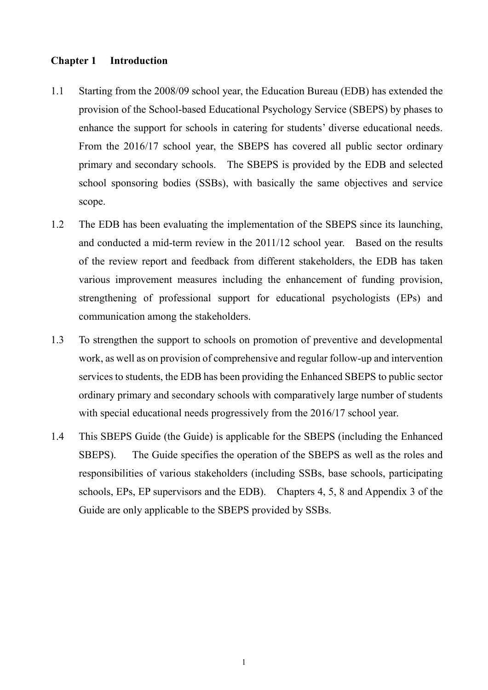## **Chapter 1 Introduction**

- 1.1 Starting from the 2008/09 school year, the Education Bureau (EDB) has extended the provision of the School-based Educational Psychology Service (SBEPS) by phases to enhance the support for schools in catering for students' diverse educational needs. From the 2016/17 school year, the SBEPS has covered all public sector ordinary primary and secondary schools. The SBEPS is provided by the EDB and selected school sponsoring bodies (SSBs), with basically the same objectives and service scope.
- 1.2 The EDB has been evaluating the implementation of the SBEPS since its launching, and conducted a mid-term review in the 2011/12 school year. Based on the results of the review report and feedback from different stakeholders, the EDB has taken various improvement measures including the enhancement of funding provision, strengthening of professional support for educational psychologists (EPs) and communication among the stakeholders.
- 1.3 To strengthen the support to schools on promotion of preventive and developmental work, as well as on provision of comprehensive and regular follow-up and intervention services to students, the EDB has been providing the Enhanced SBEPS to public sector ordinary primary and secondary schools with comparatively large number of students with special educational needs progressively from the 2016/17 school year.
- 1.4 This SBEPS Guide (the Guide) is applicable for the SBEPS (including the Enhanced SBEPS). The Guide specifies the operation of the SBEPS as well as the roles and responsibilities of various stakeholders (including SSBs, base schools, participating schools, EPs, EP supervisors and the EDB). Chapters 4, 5, 8 and Appendix 3 of the Guide are only applicable to the SBEPS provided by SSBs.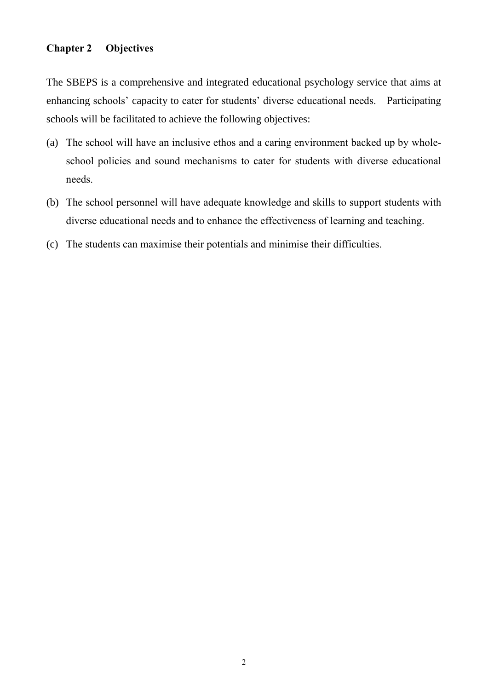## **Chapter 2 Objectives**

The SBEPS is a comprehensive and integrated educational psychology service that aims at enhancing schools' capacity to cater for students' diverse educational needs. Participating schools will be facilitated to achieve the following objectives:

- (a) The school will have an inclusive ethos and a caring environment backed up by wholeschool policies and sound mechanisms to cater for students with diverse educational needs.
- (b) The school personnel will have adequate knowledge and skills to support students with diverse educational needs and to enhance the effectiveness of learning and teaching.
- (c) The students can maximise their potentials and minimise their difficulties.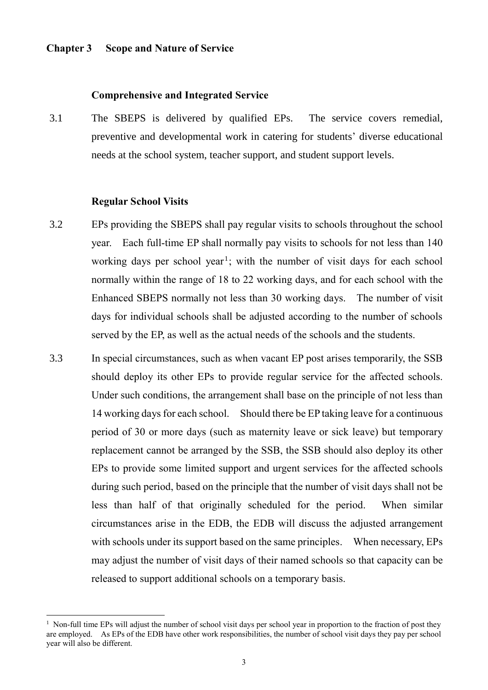## **Chapter 3 Scope and Nature of Service**

#### **Comprehensive and Integrated Service**

3.1 The SBEPS is delivered by qualified EPs. The service covers remedial, preventive and developmental work in catering for students' diverse educational needs at the school system, teacher support, and student support levels.

#### **Regular School Visits**

1

- 3.2 EPs providing the SBEPS shall pay regular visits to schools throughout the school year. Each full-time EP shall normally pay visits to schools for not less than 140 working days per school year<sup>1</sup>; with the number of visit days for each school normally within the range of 18 to 22 working days, and for each school with the Enhanced SBEPS normally not less than 30 working days. The number of visit days for individual schools shall be adjusted according to the number of schools served by the EP, as well as the actual needs of the schools and the students.
- 3.3 In special circumstances, such as when vacant EP post arises temporarily, the SSB should deploy its other EPs to provide regular service for the affected schools. Under such conditions, the arrangement shall base on the principle of not less than 14 working days for each school. Should there be EP taking leave for a continuous period of 30 or more days (such as maternity leave or sick leave) but temporary replacement cannot be arranged by the SSB, the SSB should also deploy its other EPs to provide some limited support and urgent services for the affected schools during such period, based on the principle that the number of visit days shall not be less than half of that originally scheduled for the period. When similar circumstances arise in the EDB, the EDB will discuss the adjusted arrangement with schools under its support based on the same principles. When necessary, EPs may adjust the number of visit days of their named schools so that capacity can be released to support additional schools on a temporary basis.

<sup>&</sup>lt;sup>1</sup> Non-full time EPs will adjust the number of school visit days per school year in proportion to the fraction of post they are employed. As EPs of the EDB have other work responsibilities, the number of school visit days they pay per school year will also be different.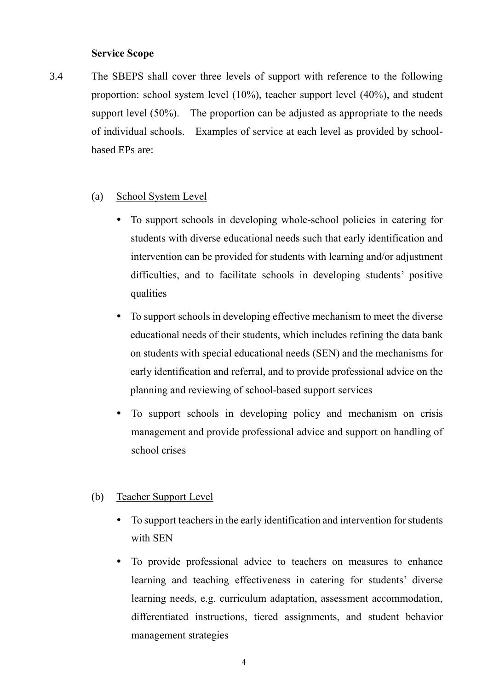#### **Service Scope**

3.4 The SBEPS shall cover three levels of support with reference to the following proportion: school system level (10%), teacher support level (40%), and student support level (50%). The proportion can be adjusted as appropriate to the needs of individual schools. Examples of service at each level as provided by schoolbased EPs are:

## (a) School System Level

- To support schools in developing whole-school policies in catering for students with diverse educational needs such that early identification and intervention can be provided for students with learning and/or adjustment difficulties, and to facilitate schools in developing students' positive qualities
- To support schools in developing effective mechanism to meet the diverse educational needs of their students, which includes refining the data bank on students with special educational needs (SEN) and the mechanisms for early identification and referral, and to provide professional advice on the planning and reviewing of school-based support services
- To support schools in developing policy and mechanism on crisis management and provide professional advice and support on handling of school crises

### (b) Teacher Support Level

- To support teachers in the early identification and intervention for students with SEN
- To provide professional advice to teachers on measures to enhance learning and teaching effectiveness in catering for students' diverse learning needs, e.g. curriculum adaptation, assessment accommodation, differentiated instructions, tiered assignments, and student behavior management strategies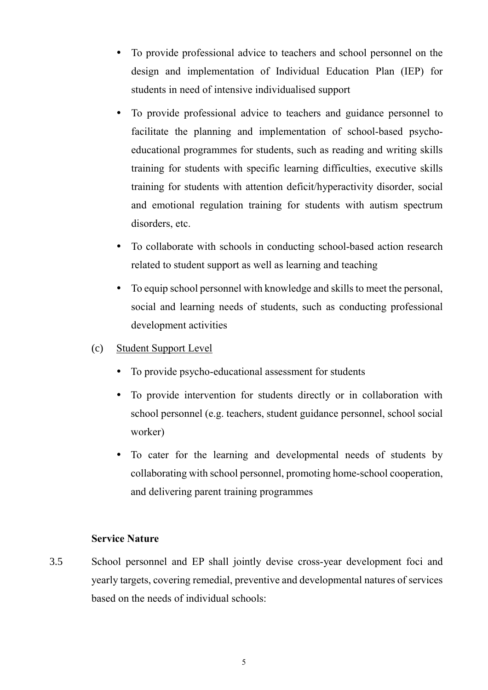- To provide professional advice to teachers and school personnel on the design and implementation of Individual Education Plan (IEP) for students in need of intensive individualised support
- To provide professional advice to teachers and guidance personnel to facilitate the planning and implementation of school-based psychoeducational programmes for students, such as reading and writing skills training for students with specific learning difficulties, executive skills training for students with attention deficit/hyperactivity disorder, social and emotional regulation training for students with autism spectrum disorders, etc.
- To collaborate with schools in conducting school-based action research related to student support as well as learning and teaching
- To equip school personnel with knowledge and skills to meet the personal, social and learning needs of students, such as conducting professional development activities
- (c) Student Support Level
	- To provide psycho-educational assessment for students
	- To provide intervention for students directly or in collaboration with school personnel (e.g. teachers, student guidance personnel, school social worker)
	- To cater for the learning and developmental needs of students by collaborating with school personnel, promoting home-school cooperation, and delivering parent training programmes

## **Service Nature**

3.5 School personnel and EP shall jointly devise cross-year development foci and yearly targets, covering remedial, preventive and developmental natures of services based on the needs of individual schools: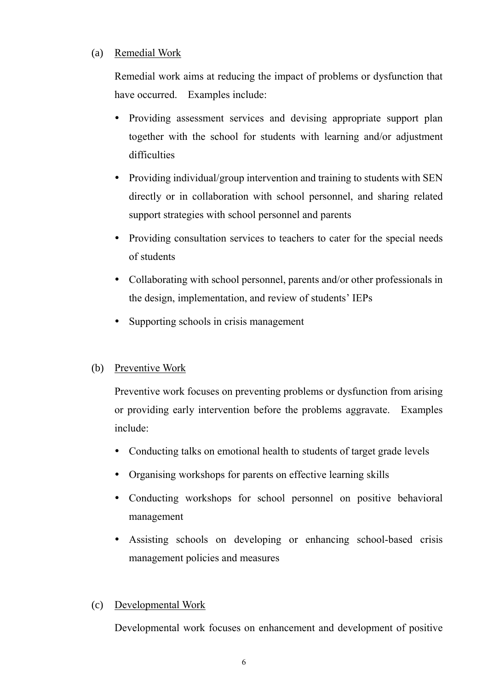## (a) Remedial Work

Remedial work aims at reducing the impact of problems or dysfunction that have occurred. Examples include:

- Providing assessment services and devising appropriate support plan together with the school for students with learning and/or adjustment difficulties
- Providing individual/group intervention and training to students with SEN directly or in collaboration with school personnel, and sharing related support strategies with school personnel and parents
- Providing consultation services to teachers to cater for the special needs of students
- Collaborating with school personnel, parents and/or other professionals in the design, implementation, and review of students' IEPs
- Supporting schools in crisis management

## (b) Preventive Work

Preventive work focuses on preventing problems or dysfunction from arising or providing early intervention before the problems aggravate. Examples include:

- Conducting talks on emotional health to students of target grade levels
- Organising workshops for parents on effective learning skills
- Conducting workshops for school personnel on positive behavioral management
- Assisting schools on developing or enhancing school-based crisis management policies and measures

## (c) Developmental Work

Developmental work focuses on enhancement and development of positive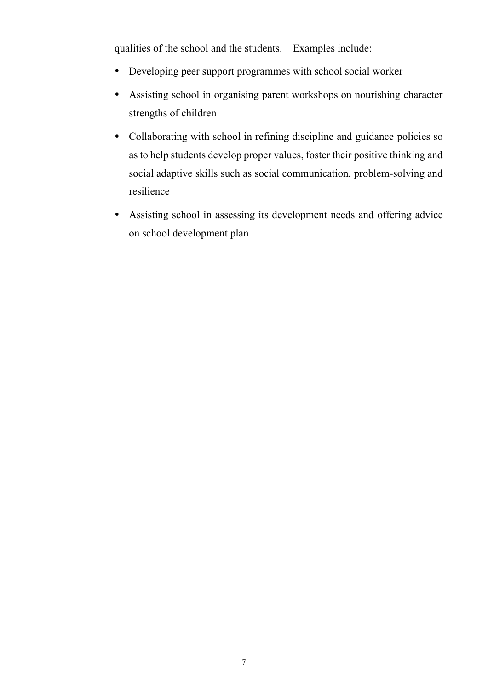qualities of the school and the students. Examples include:

- Developing peer support programmes with school social worker
- Assisting school in organising parent workshops on nourishing character strengths of children
- Collaborating with school in refining discipline and guidance policies so as to help students develop proper values, foster their positive thinking and social adaptive skills such as social communication, problem-solving and resilience
- Assisting school in assessing its development needs and offering advice on school development plan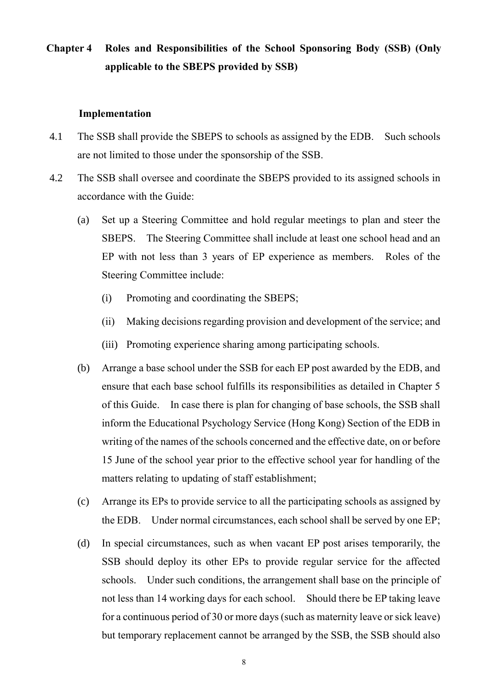## **Chapter 4 Roles and Responsibilities of the School Sponsoring Body (SSB) (Only applicable to the SBEPS provided by SSB)**

#### **Implementation**

- 4.1 The SSB shall provide the SBEPS to schools as assigned by the EDB. Such schools are not limited to those under the sponsorship of the SSB.
- 4.2 The SSB shall oversee and coordinate the SBEPS provided to its assigned schools in accordance with the Guide:
	- (a) Set up a Steering Committee and hold regular meetings to plan and steer the SBEPS. The Steering Committee shall include at least one school head and an EP with not less than 3 years of EP experience as members. Roles of the Steering Committee include:
		- (i) Promoting and coordinating the SBEPS
		- (ii) Making decisions regarding provision and development of the service; and
		- (iii) Promoting experience sharing among participating schools.
	- (b) Arrange a base school under the SSB for each EP post awarded by the EDB, and ensure that each base school fulfills its responsibilities as detailed in Chapter 5 of this Guide. In case there is plan for changing of base schools, the SSB shall inform the Educational Psychology Service (Hong Kong) Section of the EDB in writing of the names of the schools concerned and the effective date, on or before 15 June of the school year prior to the effective school year for handling of the matters relating to updating of staff establishment;
	- (c) Arrange its EPs to provide service to all the participating schools as assigned by the EDB. Under normal circumstances, each school shall be served by one EP
	- (d) In special circumstances, such as when vacant EP post arises temporarily, the SSB should deploy its other EPs to provide regular service for the affected schools. Under such conditions, the arrangement shall base on the principle of not less than 14 working days for each school. Should there be EP taking leave for a continuous period of 30 or more days (such as maternity leave or sick leave) but temporary replacement cannot be arranged by the SSB, the SSB should also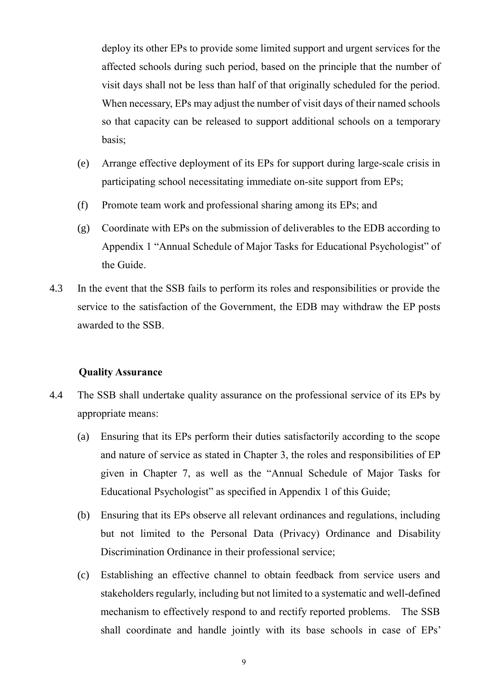deploy its other EPs to provide some limited support and urgent services for the affected schools during such period, based on the principle that the number of visit days shall not be less than half of that originally scheduled for the period. When necessary, EPs may adjust the number of visit days of their named schools so that capacity can be released to support additional schools on a temporary basis

- (e) Arrange effective deployment of its EPs for support during large-scale crisis in participating school necessitating immediate on-site support from EPs
- (f) Promote team work and professional sharing among its EPs; and
- (g) Coordinate with EPs on the submission of deliverables to the EDB according to Appendix 1 "Annual Schedule of Major Tasks for Educational Psychologist" of the Guide.
- 4.3 In the event that the SSB fails to perform its roles and responsibilities or provide the service to the satisfaction of the Government, the EDB may withdraw the EP posts awarded to the SSB.

## **Quality Assurance**

- 4.4 The SSB shall undertake quality assurance on the professional service of its EPs by appropriate means:
	- (a) Ensuring that its EPs perform their duties satisfactorily according to the scope and nature of service as stated in Chapter 3, the roles and responsibilities of EP given in Chapter 7, as well as the "Annual Schedule of Major Tasks for Educational Psychologist" as specified in Appendix 1 of this Guide;
	- (b) Ensuring that its EPs observe all relevant ordinances and regulations, including but not limited to the Personal Data (Privacy) Ordinance and Disability Discrimination Ordinance in their professional service;
	- (c) Establishing an effective channel to obtain feedback from service users and stakeholders regularly, including but not limited to a systematic and well-defined mechanism to effectively respond to and rectify reported problems. The SSB shall coordinate and handle jointly with its base schools in case of EPs'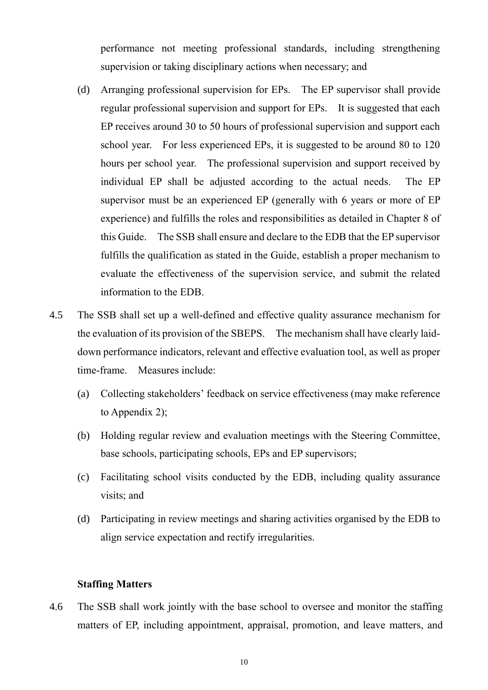performance not meeting professional standards, including strengthening supervision or taking disciplinary actions when necessary; and

- (d) Arranging professional supervision for EPs. The EP supervisor shall provide regular professional supervision and support for EPs. It is suggested that each EP receives around 30 to 50 hours of professional supervision and support each school year. For less experienced EPs, it is suggested to be around 80 to 120 hours per school year. The professional supervision and support received by individual EP shall be adjusted according to the actual needs. The EP supervisor must be an experienced EP (generally with 6 years or more of EP experience) and fulfills the roles and responsibilities as detailed in Chapter 8 of this Guide. The SSB shall ensure and declare to the EDB that the EP supervisor fulfills the qualification as stated in the Guide, establish a proper mechanism to evaluate the effectiveness of the supervision service, and submit the related information to the EDB.
- 4.5 The SSB shall set up a well-defined and effective quality assurance mechanism for the evaluation of its provision of the SBEPS. The mechanism shall have clearly laiddown performance indicators, relevant and effective evaluation tool, as well as proper time-frame. Measures include:
	- (a) Collecting stakeholders' feedback on service effectiveness (may make reference to Appendix 2);
	- (b) Holding regular review and evaluation meetings with the Steering Committee, base schools, participating schools, EPs and EP supervisors
	- (c) Facilitating school visits conducted by the EDB, including quality assurance visits; and
	- (d) Participating in review meetings and sharing activities organised by the EDB to align service expectation and rectify irregularities.

### **Staffing Matters**

4.6 The SSB shall work jointly with the base school to oversee and monitor the staffing matters of EP, including appointment, appraisal, promotion, and leave matters, and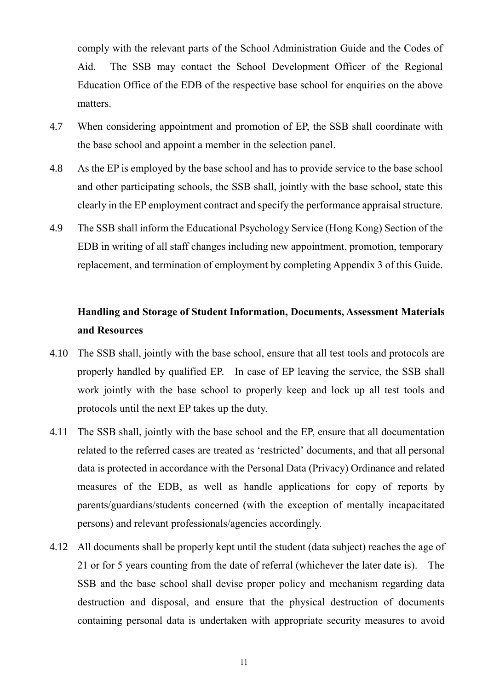comply with the relevant parts of the School Administration Guide and the Codes of Aid. The SSB may contact the School Development Officer of the Regional Education Office of the EDB of the respective base school for enquiries on the above matters.

- 4.7 When considering appointment and promotion of EP, the SSB shall coordinate with the base school and appoint a member in the selection panel.
- 4.8 As the EP is employed by the base school and has to provide service to the base school and other participating schools, the SSB shall, jointly with the base school, state this clearly in the EP employment contract and specify the performance appraisal structure.
- 4.9 The SSB shall inform the Educational Psychology Service (Hong Kong) Section of the EDB in writing of all staff changes including new appointment, promotion, temporary replacement, and termination of employment by completing Appendix 3 of this Guide.

## **Handling and Storage of Student Information, Documents, Assessment Materials and Resources**

- 4.10 The SSB shall, jointly with the base school, ensure that all test tools and protocols are properly handled by qualified EP. In case of EP leaving the service, the SSB shall work jointly with the base school to properly keep and lock up all test tools and protocols until the next EP takes up the duty.
- 4.11 The SSB shall, jointly with the base school and the EP, ensure that all documentation related to the referred cases are treated as 'restricted' documents, and that all personal data is protected in accordance with the Personal Data (Privacy) Ordinance and related measures of the EDB, as well as handle applications for copy of reports by parents/guardians/students concerned (with the exception of mentally incapacitated persons) and relevant professionals/agencies accordingly.
- 4.12 All documents shall be properly kept until the student (data subject) reaches the age of 21 or for 5 years counting from the date of referral (whichever the later date is). The SSB and the base school shall devise proper policy and mechanism regarding data destruction and disposal, and ensure that the physical destruction of documents containing personal data is undertaken with appropriate security measures to avoid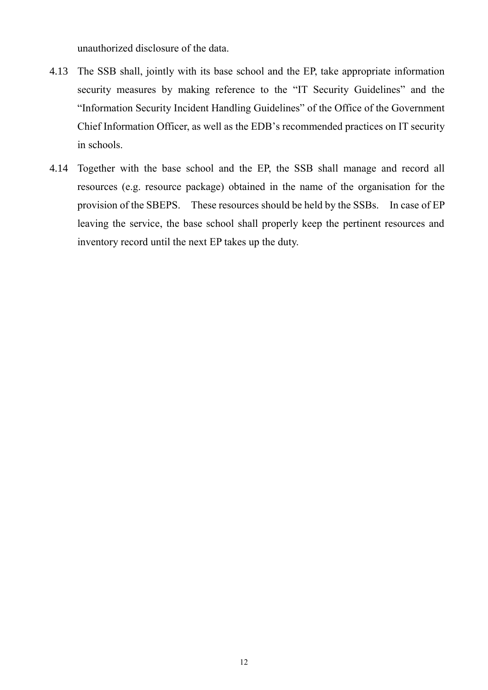unauthorized disclosure of the data.

- 4.13 The SSB shall, jointly with its base school and the EP, take appropriate information security measures by making reference to the "IT Security Guidelines" and the "Information Security Incident Handling Guidelines" of the Office of the Government Chief Information Officer, as well as the EDB's recommended practices on IT security in schools.
- 4.14 Together with the base school and the EP, the SSB shall manage and record all resources (e.g. resource package) obtained in the name of the organisation for the provision of the SBEPS. These resources should be held by the SSBs. In case of EP leaving the service, the base school shall properly keep the pertinent resources and inventory record until the next EP takes up the duty.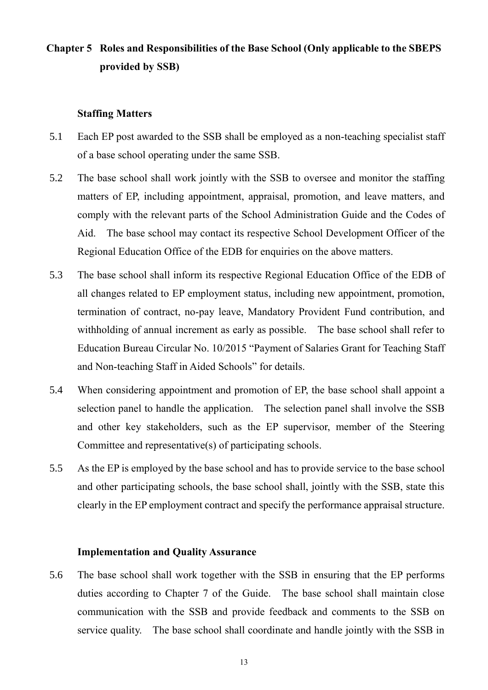## **Chapter 5 Roles and Responsibilities of the Base School (Only applicable to the SBEPS provided by SSB)**

#### **Staffing Matters**

- 5.1 Each EP post awarded to the SSB shall be employed as a non-teaching specialist staff of a base school operating under the same SSB.
- 5.2 The base school shall work jointly with the SSB to oversee and monitor the staffing matters of EP, including appointment, appraisal, promotion, and leave matters, and comply with the relevant parts of the School Administration Guide and the Codes of Aid. The base school may contact its respective School Development Officer of the Regional Education Office of the EDB for enquiries on the above matters.
- 5.3 The base school shall inform its respective Regional Education Office of the EDB of all changes related to EP employment status, including new appointment, promotion, termination of contract, no-pay leave, Mandatory Provident Fund contribution, and withholding of annual increment as early as possible. The base school shall refer to Education Bureau Circular No. 10/2015 "Payment of Salaries Grant for Teaching Staff and Non-teaching Staff in Aided Schools" for details.
- 5.4 When considering appointment and promotion of EP, the base school shall appoint a selection panel to handle the application. The selection panel shall involve the SSB and other key stakeholders, such as the EP supervisor, member of the Steering Committee and representative(s) of participating schools.
- 5.5 As the EP is employed by the base school and has to provide service to the base school and other participating schools, the base school shall, jointly with the SSB, state this clearly in the EP employment contract and specify the performance appraisal structure.

#### **Implementation and Quality Assurance**

5.6 The base school shall work together with the SSB in ensuring that the EP performs duties according to Chapter 7 of the Guide. The base school shall maintain close communication with the SSB and provide feedback and comments to the SSB on service quality. The base school shall coordinate and handle jointly with the SSB in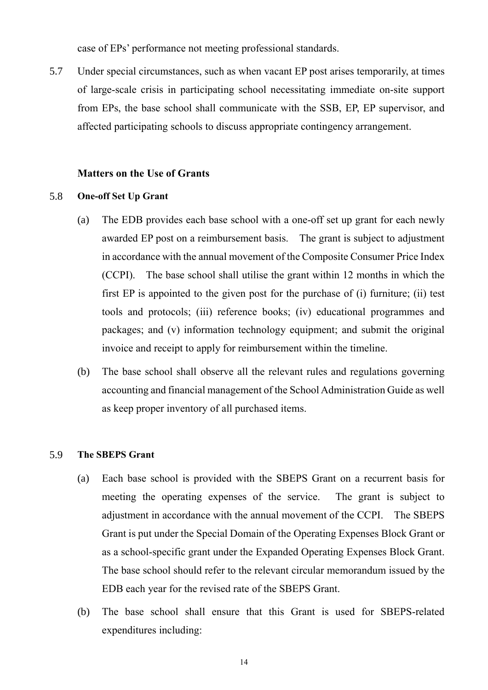case of EPs' performance not meeting professional standards.

5.7 Under special circumstances, such as when vacant EP post arises temporarily, at times of large-scale crisis in participating school necessitating immediate on-site support from EPs, the base school shall communicate with the SSB, EP, EP supervisor, and affected participating schools to discuss appropriate contingency arrangement.

## **Matters on the Use of Grants**

#### 5.8 **One-off Set Up Grant**

- (a) The EDB provides each base school with a one-off set up grant for each newly awarded EP post on a reimbursement basis. The grant is subject to adjustment in accordance with the annual movement of the Composite Consumer Price Index (CCPI). The base school shall utilise the grant within 12 months in which the first EP is appointed to the given post for the purchase of  $(i)$  furniture;  $(ii)$  test tools and protocols; (iii) reference books; (iv) educational programmes and packages; and (v) information technology equipment; and submit the original invoice and receipt to apply for reimbursement within the timeline.
- (b) The base school shall observe all the relevant rules and regulations governing accounting and financial management of the School Administration Guide as well as keep proper inventory of all purchased items.

#### 5.9 **The SBEPS Grant**

- (a) Each base school is provided with the SBEPS Grant on a recurrent basis for meeting the operating expenses of the service. The grant is subject to adjustment in accordance with the annual movement of the CCPI. The SBEPS Grant is put under the Special Domain of the Operating Expenses Block Grant or as a school-specific grant under the Expanded Operating Expenses Block Grant. The base school should refer to the relevant circular memorandum issued by the EDB each year for the revised rate of the SBEPS Grant.
- (b) The base school shall ensure that this Grant is used for SBEPS-related expenditures including: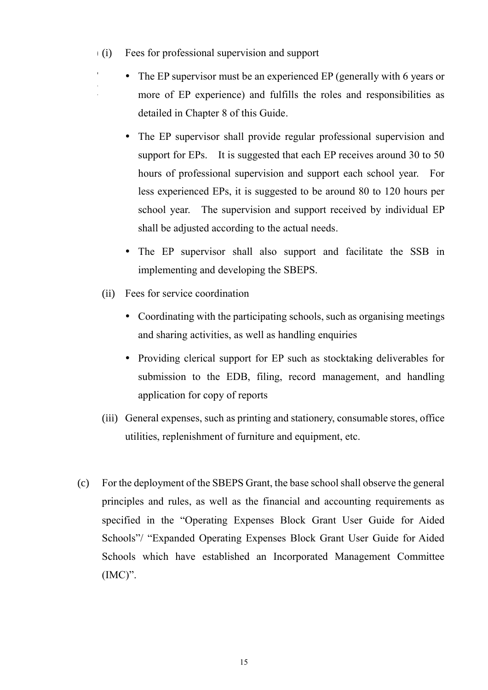$(i)$ Fees for professional supervision and support

a

)

- The EP supervisor must be an experienced EP (generally with 6 years or more of EP experience) and fulfills the roles and responsibilities as detailed in Chapter 8 of this Guide.
- The EP supervisor shall provide regular professional supervision and support for EPs. It is suggested that each EP receives around 30 to 50 hours of professional supervision and support each school year. For less experienced EPs, it is suggested to be around 80 to 120 hours per school year. The supervision and support received by individual EP shall be adjusted according to the actual needs.
- The EP supervisor shall also support and facilitate the SSB in implementing and developing the SBEPS.
- (ii) Fees for service coordination
	- Coordinating with the participating schools, such as organising meetings and sharing activities, as well as handling enquiries
	- Providing clerical support for EP such as stocktaking deliverables for submission to the EDB, filing, record management, and handling application for copy of reports
- (iii) General expenses, such as printing and stationery, consumable stores, office utilities, replenishment of furniture and equipment, etc.
- (c) For the deployment of the SBEPS Grant, the base school shall observe the general principles and rules, as well as the financial and accounting requirements as specified in the "Operating Expenses Block Grant User Guide for Aided Schools"/ "Expanded Operating Expenses Block Grant User Guide for Aided Schools which have established an Incorporated Management Committee  $(IMC)$ ".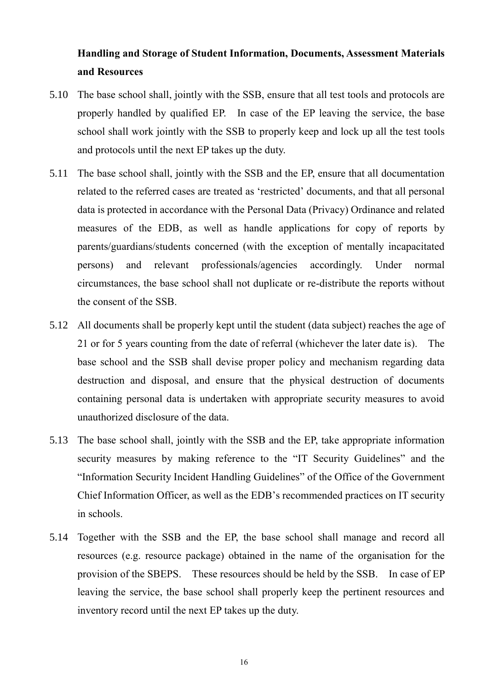## **Handling and Storage of Student Information, Documents, Assessment Materials and Resources**

- 5.10 The base school shall, jointly with the SSB, ensure that all test tools and protocols are properly handled by qualified EP. In case of the EP leaving the service, the base school shall work jointly with the SSB to properly keep and lock up all the test tools and protocols until the next EP takes up the duty.
- 5.11 The base school shall, jointly with the SSB and the EP, ensure that all documentation related to the referred cases are treated as 'restricted' documents, and that all personal data is protected in accordance with the Personal Data (Privacy) Ordinance and related measures of the EDB, as well as handle applications for copy of reports by parents/guardians/students concerned (with the exception of mentally incapacitated persons) and relevant professionals/agencies accordingly. Under normal circumstances, the base school shall not duplicate or re-distribute the reports without the consent of the SSB.
- 5.12 All documents shall be properly kept until the student (data subject) reaches the age of 21 or for 5 years counting from the date of referral (whichever the later date is). The base school and the SSB shall devise proper policy and mechanism regarding data destruction and disposal, and ensure that the physical destruction of documents containing personal data is undertaken with appropriate security measures to avoid unauthorized disclosure of the data.
- 5.13 The base school shall, jointly with the SSB and the EP, take appropriate information security measures by making reference to the "IT Security Guidelines" and the "Information Security Incident Handling Guidelines" of the Office of the Government Chief Information Officer, as well as the EDB's recommended practices on IT security in schools.
- 5.14 Together with the SSB and the EP, the base school shall manage and record all resources (e.g. resource package) obtained in the name of the organisation for the provision of the SBEPS. These resources should be held by the SSB. In case of EP leaving the service, the base school shall properly keep the pertinent resources and inventory record until the next EP takes up the duty.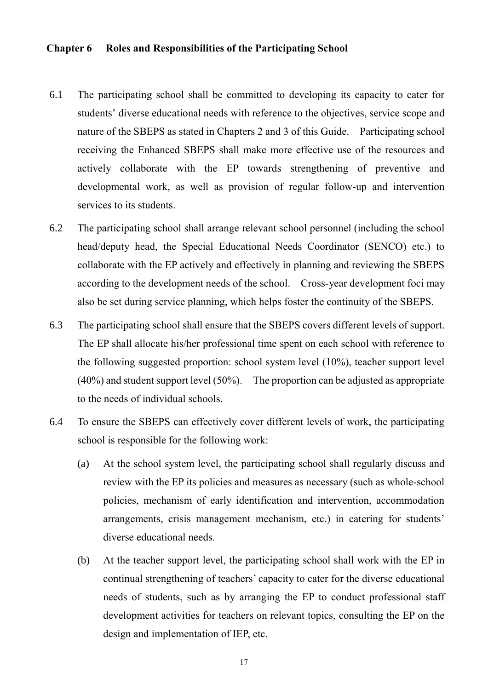#### **Chapter 6 Roles and Responsibilities of the Participating School**

- 6.1 The participating school shall be committed to developing its capacity to cater for students' diverse educational needs with reference to the objectives, service scope and nature of the SBEPS as stated in Chapters 2 and 3 of this Guide. Participating school receiving the Enhanced SBEPS shall make more effective use of the resources and actively collaborate with the EP towards strengthening of preventive and developmental work, as well as provision of regular follow-up and intervention services to its students.
- 6.2 The participating school shall arrange relevant school personnel (including the school head/deputy head, the Special Educational Needs Coordinator (SENCO) etc.) to collaborate with the EP actively and effectively in planning and reviewing the SBEPS according to the development needs of the school. Cross-year development foci may also be set during service planning, which helps foster the continuity of the SBEPS.
- 6.3 The participating school shall ensure that the SBEPS covers different levels of support. The EP shall allocate his/her professional time spent on each school with reference to the following suggested proportion: school system level (10%), teacher support level (40%) and student support level (50%). The proportion can be adjusted as appropriate to the needs of individual schools.
- 6.4 To ensure the SBEPS can effectively cover different levels of work, the participating school is responsible for the following work:
	- (a) At the school system level, the participating school shall regularly discuss and review with the EP its policies and measures as necessary (such as whole-school policies, mechanism of early identification and intervention, accommodation arrangements, crisis management mechanism, etc.) in catering for students' diverse educational needs.
	- (b) At the teacher support level, the participating school shall work with the EP in continual strengthening of teachers' capacity to cater for the diverse educational needs of students, such as by arranging the EP to conduct professional staff development activities for teachers on relevant topics, consulting the EP on the design and implementation of IEP, etc.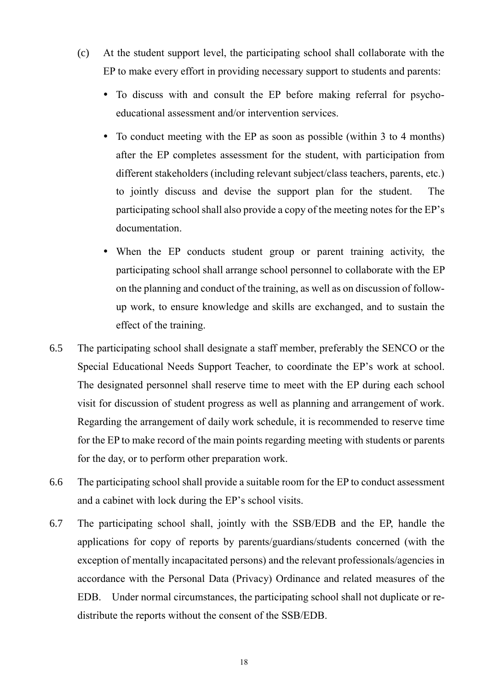- (c) At the student support level, the participating school shall collaborate with the EP to make every effort in providing necessary support to students and parents:
	- To discuss with and consult the EP before making referral for psychoeducational assessment and/or intervention services.
	- To conduct meeting with the EP as soon as possible (within 3 to 4 months) after the EP completes assessment for the student, with participation from different stakeholders (including relevant subject/class teachers, parents, etc.) to jointly discuss and devise the support plan for the student. The participating school shall also provide a copy of the meeting notes for the EP's documentation.
	- When the EP conducts student group or parent training activity, the participating school shall arrange school personnel to collaborate with the EP on the planning and conduct of the training, as well as on discussion of followup work, to ensure knowledge and skills are exchanged, and to sustain the effect of the training.
- 6.5 The participating school shall designate a staff member, preferably the SENCO or the Special Educational Needs Support Teacher, to coordinate the EP's work at school. The designated personnel shall reserve time to meet with the EP during each school visit for discussion of student progress as well as planning and arrangement of work. Regarding the arrangement of daily work schedule, it is recommended to reserve time for the EP to make record of the main points regarding meeting with students or parents for the day, or to perform other preparation work.
- 6.6 The participating school shall provide a suitable room for the EP to conduct assessment and a cabinet with lock during the EP's school visits.
- 6.7 The participating school shall, jointly with the SSB/EDB and the EP, handle the applications for copy of reports by parents/guardians/students concerned (with the exception of mentally incapacitated persons) and the relevant professionals/agencies in accordance with the Personal Data (Privacy) Ordinance and related measures of the EDB. Under normal circumstances, the participating school shall not duplicate or redistribute the reports without the consent of the SSB/EDB.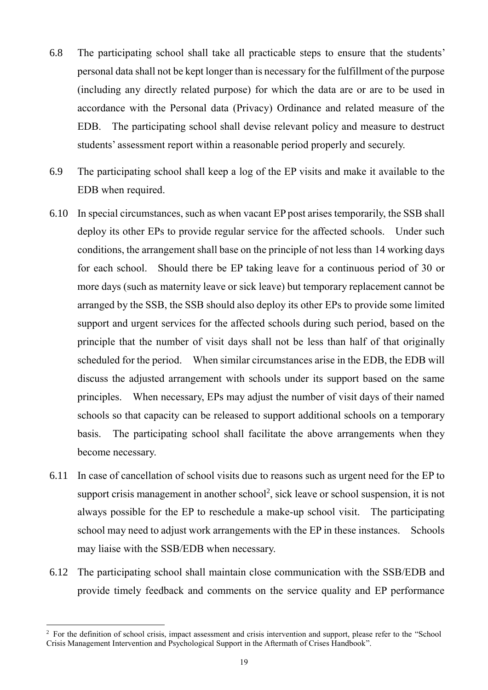- 6.8 The participating school shall take all practicable steps to ensure that the students' personal data shall not be kept longer than is necessary for the fulfillment of the purpose (including any directly related purpose) for which the data are or are to be used in accordance with the Personal data (Privacy) Ordinance and related measure of the EDB. The participating school shall devise relevant policy and measure to destruct students' assessment report within a reasonable period properly and securely.
- 6.9 The participating school shall keep a log of the EP visits and make it available to the EDB when required.
- 6.10 In special circumstances, such as when vacant EP post arises temporarily, the SSB shall deploy its other EPs to provide regular service for the affected schools. Under such conditions, the arrangement shall base on the principle of not less than 14 working days for each school. Should there be EP taking leave for a continuous period of 30 or more days (such as maternity leave or sick leave) but temporary replacement cannot be arranged by the SSB, the SSB should also deploy its other EPs to provide some limited support and urgent services for the affected schools during such period, based on the principle that the number of visit days shall not be less than half of that originally scheduled for the period. When similar circumstances arise in the EDB, the EDB will discuss the adjusted arrangement with schools under its support based on the same principles. When necessary, EPs may adjust the number of visit days of their named schools so that capacity can be released to support additional schools on a temporary basis. The participating school shall facilitate the above arrangements when they become necessary.
- 6.11 In case of cancellation of school visits due to reasons such as urgent need for the EP to support crisis management in another school<sup>2</sup>, sick leave or school suspension, it is not always possible for the EP to reschedule a make-up school visit. The participating school may need to adjust work arrangements with the EP in these instances. Schools may liaise with the SSB/EDB when necessary.
- 6.12 The participating school shall maintain close communication with the SSB/EDB and provide timely feedback and comments on the service quality and EP performance

1

<sup>&</sup>lt;sup>2</sup> For the definition of school crisis, impact assessment and crisis intervention and support, please refer to the "School" Crisis Management Intervention and Psychological Support in the Aftermath of Crises Handbook".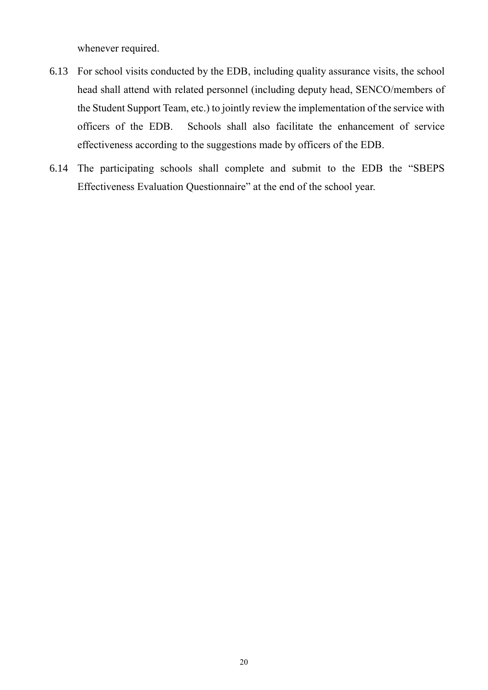whenever required.

- 6.13 For school visits conducted by the EDB, including quality assurance visits, the school head shall attend with related personnel (including deputy head, SENCO/members of the Student Support Team, etc.) to jointly review the implementation of the service with officers of the EDB. Schools shall also facilitate the enhancement of service effectiveness according to the suggestions made by officers of the EDB.
- 6.14 The participating schools shall complete and submit to the EDB the "SBEPS Effectiveness Evaluation Questionnaire" at the end of the school year.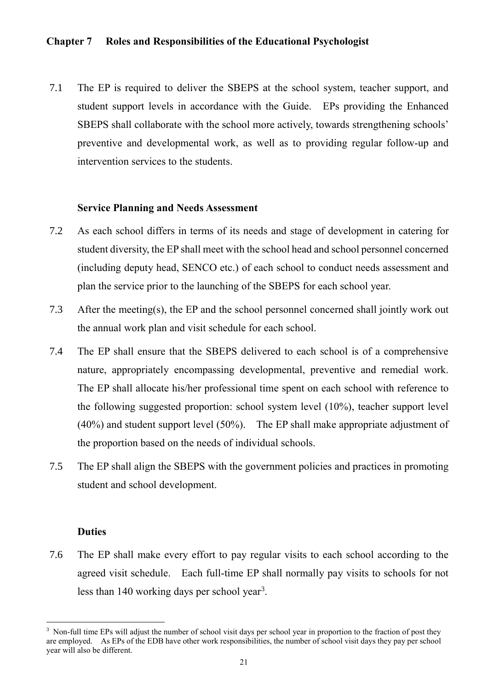## **Chapter 7 Roles and Responsibilities of the Educational Psychologist**

7.1 The EP is required to deliver the SBEPS at the school system, teacher support, and student support levels in accordance with the Guide. EPs providing the Enhanced SBEPS shall collaborate with the school more actively, towards strengthening schools' preventive and developmental work, as well as to providing regular follow-up and intervention services to the students.

#### **Service Planning and Needs Assessment**

- 7.2 As each school differs in terms of its needs and stage of development in catering for student diversity, the EP shall meet with the school head and school personnel concerned (including deputy head, SENCO etc.) of each school to conduct needs assessment and plan the service prior to the launching of the SBEPS for each school year.
- 7.3 After the meeting(s), the EP and the school personnel concerned shall jointly work out the annual work plan and visit schedule for each school.
- 7.4 The EP shall ensure that the SBEPS delivered to each school is of a comprehensive nature, appropriately encompassing developmental, preventive and remedial work. The EP shall allocate his/her professional time spent on each school with reference to the following suggested proportion: school system level (10%), teacher support level (40%) and student support level (50%). The EP shall make appropriate adjustment of the proportion based on the needs of individual schools.
- 7.5 The EP shall align the SBEPS with the government policies and practices in promoting student and school development.

### **Duties**

1

7.6 The EP shall make every effort to pay regular visits to each school according to the agreed visit schedule. Each full-time EP shall normally pay visits to schools for not less than 140 working days per school year<sup>3</sup>.

<sup>&</sup>lt;sup>3</sup> Non-full time EPs will adjust the number of school visit days per school year in proportion to the fraction of post they are employed. As EPs of the EDB have other work responsibilities, the number of school visit days they pay per school year will also be different.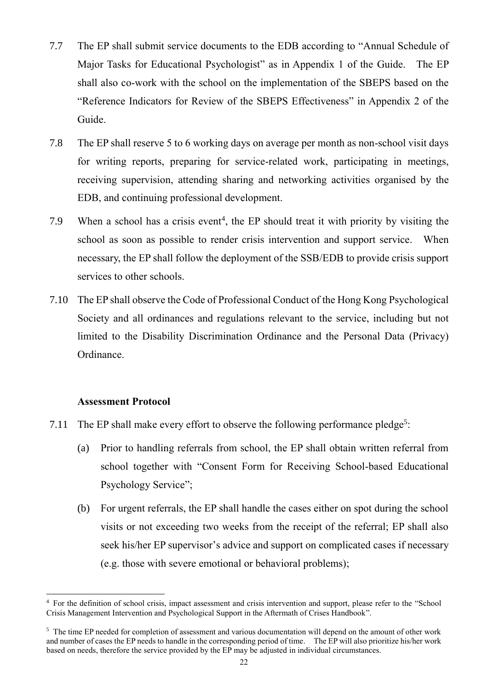- 7.7 The EP shall submit service documents to the EDB according to "Annual Schedule of Major Tasks for Educational Psychologist" as in Appendix 1 of the Guide. The EP shall also co-work with the school on the implementation of the SBEPS based on the "Reference Indicators for Review of the SBEPS Effectiveness" in Appendix 2 of the Guide.
- 7.8 The EP shall reserve 5 to 6 working days on average per month as non-school visit days for writing reports, preparing for service-related work, participating in meetings, receiving supervision, attending sharing and networking activities organised by the EDB, and continuing professional development.
- 7.9 When a school has a crisis event<sup>4</sup>, the EP should treat it with priority by visiting the school as soon as possible to render crisis intervention and support service. When necessary, the EP shall follow the deployment of the SSB/EDB to provide crisis support services to other schools.
- 7.10 The EP shall observe the Code of Professional Conduct of the Hong Kong Psychological Society and all ordinances and regulations relevant to the service, including but not limited to the Disability Discrimination Ordinance and the Personal Data (Privacy) Ordinance.

## **Assessment Protocol**

- 7.11 The EP shall make every effort to observe the following performance pledge<sup>5</sup>:
	- (a) Prior to handling referrals from school, the EP shall obtain written referral from school together with "Consent Form for Receiving School-based Educational Psychology Service"
	- (b) ( For urgent referrals, the EP shall handle the cases either on spot during the school visits or not exceeding two weeks from the receipt of the referral; EP shall also seek his/her EP supervisor's advice and support on complicated cases if necessary (e.g. those with severe emotional or behavioral problems)

<sup>&</sup>lt;u>.</u> <sup>4</sup> For the definition of school crisis, impact assessment and crisis intervention and support, please refer to the "School Crisis Management Intervention and Psychological Support in the Aftermath of Crises Handbook".

<sup>&</sup>lt;sup>5</sup> The time EP needed for completion of assessment and various documentation will depend on the amount of other work and number of cases the EP needs to handle in the corresponding period of time. The EP will also prioritize his/her work based on needs, therefore the service provided by the EP may be adjusted in individual circumstances.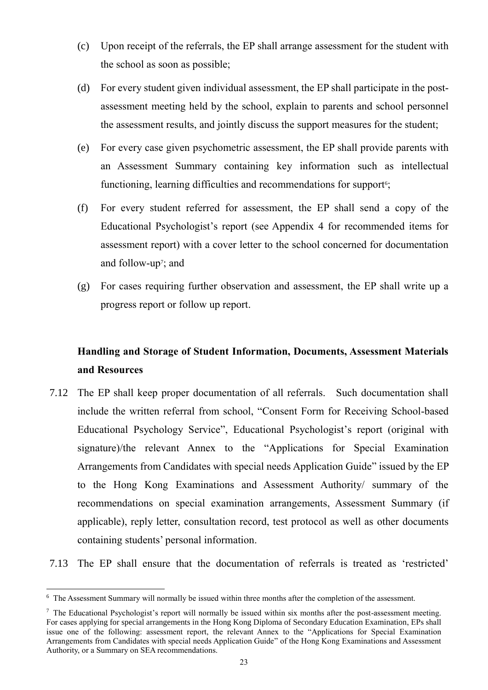- $(c)$ the school as soon as possible; Upon receipt of the referrals, the EP shall arrange assessment for the student with
- $(d)$ assessment meeting held by the school, explain to parents and school personnel For every student given individual assessment, the EP shall participate in the postthe assessment results, and jointly discuss the support measures for the student
- $(e)$ an Assessment Summary containing key information such as intellectual For every case given psychometric assessment, the EP shall provide parents with functioning, learning difficulties and recommendations for support<sup>6</sup>;
- $(f)$ Educational Psychologist's report (see Appendix 4 for recommended items for For every student referred for assessment, the EP shall send a copy of the assessment report) with a cover letter to the school concerned for documentation and follow-up<sup>7</sup>; and
- $(g)$ progress report or follow up report. For cases requiring further observation and assessment, the EP shall write up a

## **Handling and Storage of Student Information, Documents, Assessment Materials and Resources**

7.12 The EP shall keep proper documentation of all referrals. Such documentation shall include the written referral from school, "Consent Form for Receiving School-based Educational Psychology Service", Educational Psychologist's report (original with signature)/the relevant Annex to the "Applications for Special Examination Arrangements from Candidates with special needs Application Guide" issued by the EP to the Hong Kong Examinations and Assessment Authority/ summary of the recommendations on special examination arrangements, Assessment Summary (if applicable), reply letter, consultation record, test protocol as well as other documents containing students' personal information.

7.13 The EP shall ensure that the documentation of referrals is treated as 'restricted'

<sup>&</sup>lt;u>.</u> <sup>6</sup> The Assessment Summary will normally be issued within three months after the completion of the assessment.

<sup>7</sup> The Educational Psychologist's report will normally be issued within six months after the post-assessment meeting. For cases applying for special arrangements in the Hong Kong Diploma of Secondary Education Examination, EPs shall issue one of the following: assessment report, the relevant Annex to the "Applications for Special Examination Arrangements from Candidates with special needs Application Guide" of the Hong Kong Examinations and Assessment Authority, or a Summary on SEA recommendations.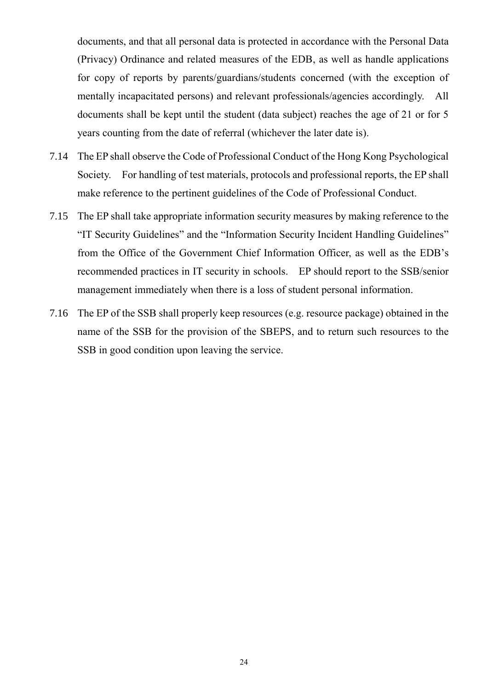documents, and that all personal data is protected in accordance with the Personal Data (Privacy) Ordinance and related measures of the EDB, as well as handle applications for copy of reports by parents/guardians/students concerned (with the exception of mentally incapacitated persons) and relevant professionals/agencies accordingly. All documents shall be kept until the student (data subject) reaches the age of 21 or for 5 years counting from the date of referral (whichever the later date is).

- 7.14 The EP shall observe the Code of Professional Conduct of the Hong Kong Psychological Society. For handling of test materials, protocols and professional reports, the EP shall make reference to the pertinent guidelines of the Code of Professional Conduct.
- 7.15 The EP shall take appropriate information security measures by making reference to the "IT Security Guidelines" and the "Information Security Incident Handling Guidelines" from the Office of the Government Chief Information Officer, as well as the EDB's recommended practices in IT security in schools. EP should report to the SSB/senior management immediately when there is a loss of student personal information.
- 7.16 The EP of the SSB shall properly keep resources (e.g. resource package) obtained in the name of the SSB for the provision of the SBEPS, and to return such resources to the SSB in good condition upon leaving the service.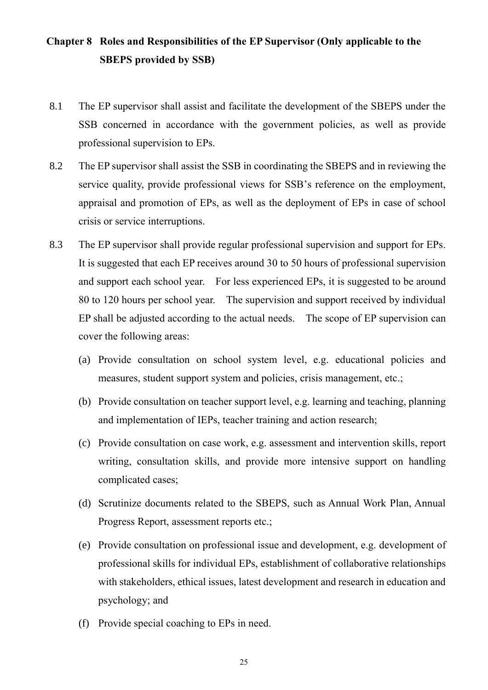## **Chapter 8 Roles and Responsibilities of the EP Supervisor (Only applicable to the SBEPS provided by SSB)**

- 8.1 The EP supervisor shall assist and facilitate the development of the SBEPS under the SSB concerned in accordance with the government policies, as well as provide professional supervision to EPs.
- 8.2 The EP supervisor shall assist the SSB in coordinating the SBEPS and in reviewing the service quality, provide professional views for SSB's reference on the employment, appraisal and promotion of EPs, as well as the deployment of EPs in case of school crisis or service interruptions.
- 8.3 The EP supervisor shall provide regular professional supervision and support for EPs. It is suggested that each EP receives around 30 to 50 hours of professional supervision and support each school year. For less experienced EPs, it is suggested to be around 80 to 120 hours per school year. The supervision and support received by individual EP shall be adjusted according to the actual needs. The scope of EP supervision can cover the following areas:
	- (a) Provide consultation on school system level, e.g. educational policies and measures, student support system and policies, crisis management, etc.
	- (b) Provide consultation on teacher support level, e.g. learning and teaching, planning and implementation of IEPs, teacher training and action research
	- (c) Provide consultation on case work, e.g. assessment and intervention skills, report writing, consultation skills, and provide more intensive support on handling complicated cases;
	- (d) Scrutinize documents related to the SBEPS, such as Annual Work Plan, Annual Progress Report, assessment reports etc.
	- (e) Provide consultation on professional issue and development, e.g. development of professional skills for individual EPs, establishment of collaborative relationships with stakeholders, ethical issues, latest development and research in education and psychology; and
	- (f) Provide special coaching to EPs in need.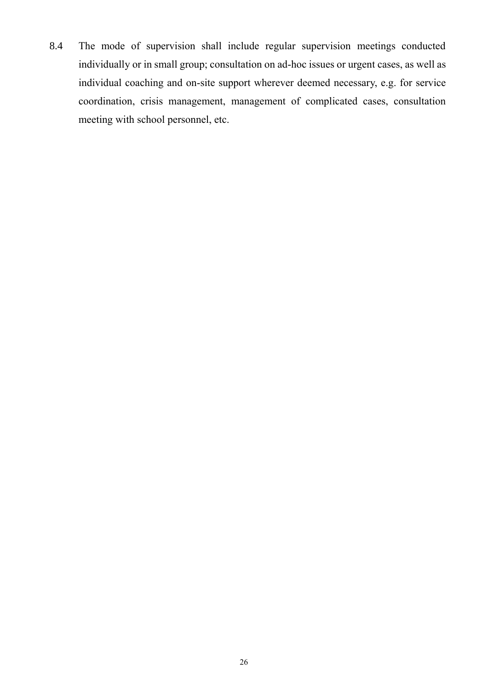8.4 The mode of supervision shall include regular supervision meetings conducted individually or in small group; consultation on ad-hoc issues or urgent cases, as well as individual coaching and on-site support wherever deemed necessary, e.g. for service coordination, crisis management, management of complicated cases, consultation meeting with school personnel, etc.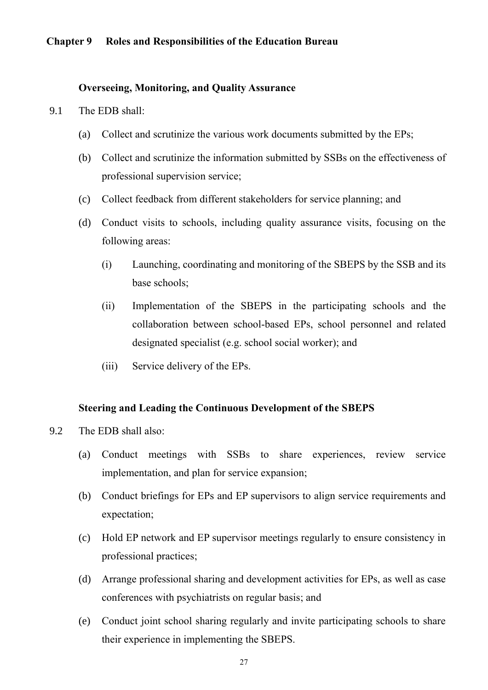## **Chapter 9 Roles and Responsibilities of the Education Bureau**

#### **Overseeing, Monitoring, and Quality Assurance**

- 9.1 The EDB shall:
	- (a) Collect and scrutinize the various work documents submitted by the EPs
	- (b) Collect and scrutinize the information submitted by SSBs on the effectiveness of professional supervision service
	- (c) Collect feedback from different stakeholders for service planning; and
	- (d) Conduct visits to schools, including quality assurance visits, focusing on the following areas:
		- (i) Launching, coordinating and monitoring of the SBEPS by the SSB and its base schools
		- (ii) Implementation of the SBEPS in the participating schools and the collaboration between school-based EPs, school personnel and related designated specialist (e.g. school social worker); and
		- (iii) Service delivery of the EPs.

#### **Steering and Leading the Continuous Development of the SBEPS**

- 9.2 The EDB shall also:
	- (a) Conduct meetings with SSBs to share experiences, review service implementation, and plan for service expansion
	- (b) Conduct briefings for EPs and EP supervisors to align service requirements and expectation;
	- (c) Hold EP network and EP supervisor meetings regularly to ensure consistency in professional practices
	- (d) Arrange professional sharing and development activities for EPs, as well as case conferences with psychiatrists on regular basis; and
	- (e) Conduct joint school sharing regularly and invite participating schools to share their experience in implementing the SBEPS.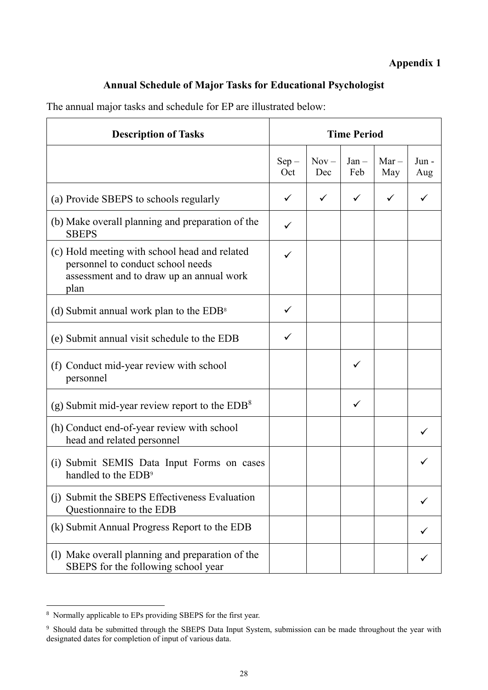## **Appendix 1**

## **Annual Schedule of Major Tasks for Educational Psychologist**

The annual major tasks and schedule for EP are illustrated below:

| <b>Description of Tasks</b>                                                                                                            | <b>Time Period</b> |                |                |                |             |  |  |
|----------------------------------------------------------------------------------------------------------------------------------------|--------------------|----------------|----------------|----------------|-------------|--|--|
|                                                                                                                                        | $Sep -$<br>Oct     | $Nov -$<br>Dec | $Jan -$<br>Feb | $Mar -$<br>May | Jun-<br>Aug |  |  |
| (a) Provide SBEPS to schools regularly                                                                                                 | ✓                  | ✓              | ✓              |                |             |  |  |
| (b) Make overall planning and preparation of the<br><b>SBEPS</b>                                                                       | ✓                  |                |                |                |             |  |  |
| (c) Hold meeting with school head and related<br>personnel to conduct school needs<br>assessment and to draw up an annual work<br>plan |                    |                |                |                |             |  |  |
| (d) Submit annual work plan to the $EDB^8$                                                                                             | ✓                  |                |                |                |             |  |  |
| (e) Submit annual visit schedule to the EDB                                                                                            | ✓                  |                |                |                |             |  |  |
| (f) Conduct mid-year review with school<br>personnel                                                                                   |                    |                | ✓              |                |             |  |  |
| (g) Submit mid-year review report to the $EDB8$                                                                                        |                    |                | ✓              |                |             |  |  |
| (h) Conduct end-of-year review with school<br>head and related personnel                                                               |                    |                |                |                |             |  |  |
| (i) Submit SEMIS Data Input Forms on cases<br>handled to the EDB <sup>9</sup>                                                          |                    |                |                |                |             |  |  |
| (j) Submit the SBEPS Effectiveness Evaluation<br>Questionnaire to the EDB                                                              |                    |                |                |                |             |  |  |
| (k) Submit Annual Progress Report to the EDB                                                                                           |                    |                |                |                |             |  |  |
| (1) Make overall planning and preparation of the<br>SBEPS for the following school year                                                |                    |                |                |                |             |  |  |

1

<sup>&</sup>lt;sup>8</sup> Normally applicable to EPs providing SBEPS for the first year.

<sup>&</sup>lt;sup>9</sup> Should data be submitted through the SBEPS Data Input System, submission can be made throughout the year with designated dates for completion of input of various data.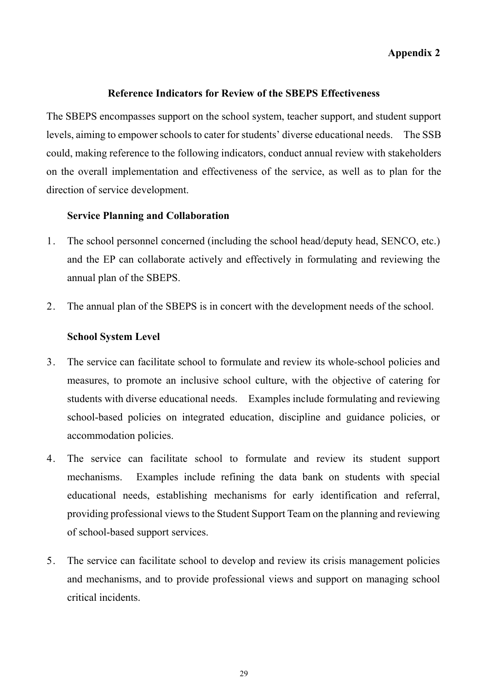## **Appendix 2**

#### **Reference Indicators for Review of the SBEPS Effectiveness**

The SBEPS encompasses support on the school system, teacher support, and student support levels, aiming to empower schools to cater for students' diverse educational needs. The SSB could, making reference to the following indicators, conduct annual review with stakeholders on the overall implementation and effectiveness of the service, as well as to plan for the direction of service development.

#### **Service Planning and Collaboration**

- 1. The school personnel concerned (including the school head/deputy head, SENCO, etc.) and the EP can collaborate actively and effectively in formulating and reviewing the annual plan of the SBEPS.
- 2. The annual plan of the SBEPS is in concert with the development needs of the school.

#### **School System Level**

- 3. The service can facilitate school to formulate and review its whole-school policies and measures, to promote an inclusive school culture, with the objective of catering for students with diverse educational needs. Examples include formulating and reviewing school-based policies on integrated education, discipline and guidance policies, or accommodation policies.
- 4. The service can facilitate school to formulate and review its student support mechanisms. Examples include refining the data bank on students with special educational needs, establishing mechanisms for early identification and referral, providing professional views to the Student Support Team on the planning and reviewing of school-based support services.
- 5. The service can facilitate school to develop and review its crisis management policies and mechanisms, and to provide professional views and support on managing school critical incidents.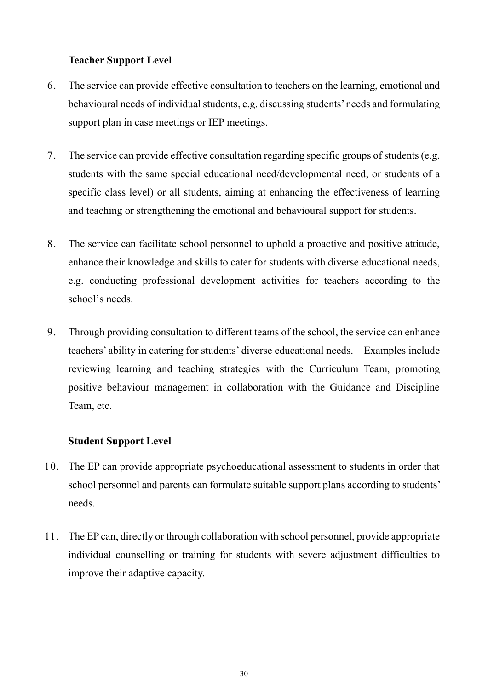## **Teacher Support Level**

- 6. The service can provide effective consultation to teachers on the learning, emotional and behavioural needs of individual students, e.g. discussing students' needs and formulating support plan in case meetings or IEP meetings.
- 7. The service can provide effective consultation regarding specific groups of students (e.g. students with the same special educational need/developmental need, or students of a specific class level) or all students, aiming at enhancing the effectiveness of learning and teaching or strengthening the emotional and behavioural support for students.
- 8. The service can facilitate school personnel to uphold a proactive and positive attitude, enhance their knowledge and skills to cater for students with diverse educational needs, e.g. conducting professional development activities for teachers according to the school's needs.
- 9. Through providing consultation to different teams of the school, the service can enhance teachers' ability in catering for students' diverse educational needs. Examples include reviewing learning and teaching strategies with the Curriculum Team, promoting positive behaviour management in collaboration with the Guidance and Discipline Team, etc.

## **Student Support Level**

- 10. The EP can provide appropriate psychoeducational assessment to students in order that school personnel and parents can formulate suitable support plans according to students' needs.
- 11. The EP can, directly or through collaboration with school personnel, provide appropriate individual counselling or training for students with severe adjustment difficulties to improve their adaptive capacity.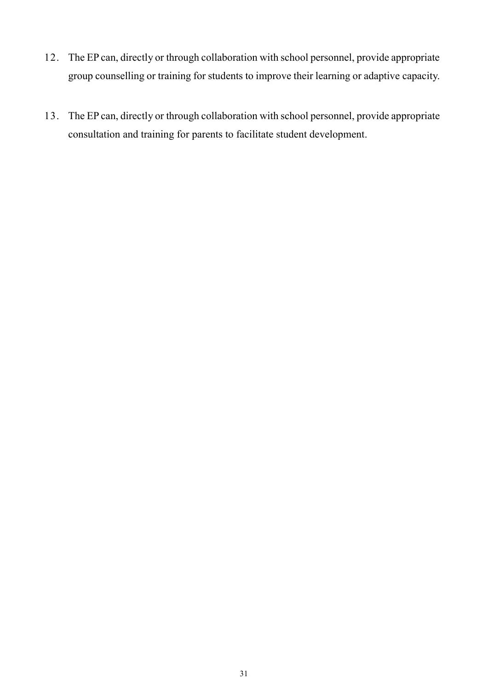- 12. The EP can, directly or through collaboration with school personnel, provide appropriate group counselling or training for students to improve their learning or adaptive capacity.
- 13. The EP can, directly or through collaboration with school personnel, provide appropriate consultation and training for parents to facilitate student development.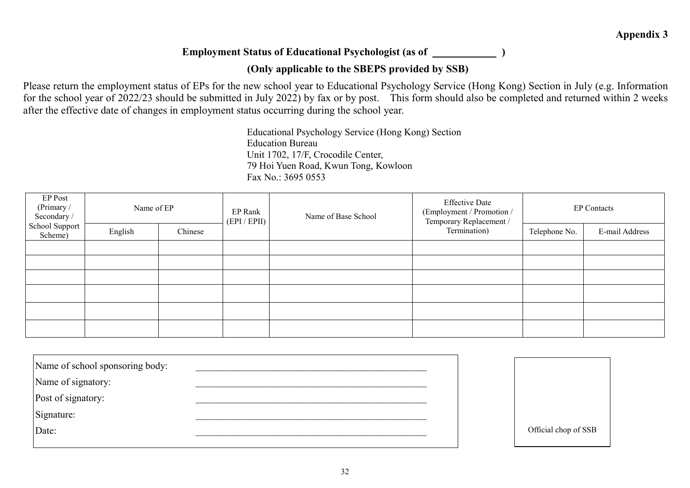## **Employment Status of Educational Psychologist (as of )**

## **(Only applicable to the SBEPS provided by SSB)**

Please return the employment status of EPs for the new school year to Educational Psychology Service (Hong Kong) Section in July (e.g. Information for the school year of 2022/23 should be submitted in July 2022) by fax or by post. This form should also be completed and returned within 2 weeks after the effective date of changes in employment status occurring during the school year.

> Educational Psychology Service (Hong Kong) Section Education Bureau Unit 1702, 17/F, Crocodile Center, 79 Hoi Yuen Road, Kwun Tong, Kowloon Fax No.: 3695 0553

| EP Post<br>(Primary /<br>Secondary /<br>School Support<br>Scheme) | Name of EP |         | EP Rank<br>(EPI / EPII) | Name of Base School | <b>Effective Date</b><br>(Employment / Promotion /<br>Temporary Replacement / | <b>EP Contacts</b> |               |                |
|-------------------------------------------------------------------|------------|---------|-------------------------|---------------------|-------------------------------------------------------------------------------|--------------------|---------------|----------------|
|                                                                   | English    | Chinese |                         |                     |                                                                               | Termination)       | Telephone No. | E-mail Address |
|                                                                   |            |         |                         |                     |                                                                               |                    |               |                |
|                                                                   |            |         |                         |                     |                                                                               |                    |               |                |
|                                                                   |            |         |                         |                     |                                                                               |                    |               |                |
|                                                                   |            |         |                         |                     |                                                                               |                    |               |                |
|                                                                   |            |         |                         |                     |                                                                               |                    |               |                |
|                                                                   |            |         |                         |                     |                                                                               |                    |               |                |

| Name of school sponsoring body: |  |                      |
|---------------------------------|--|----------------------|
| Name of signatory:              |  |                      |
| Post of signatory:              |  |                      |
| Signature:                      |  |                      |
| Date:                           |  | Official chop of SSB |
|                                 |  |                      |